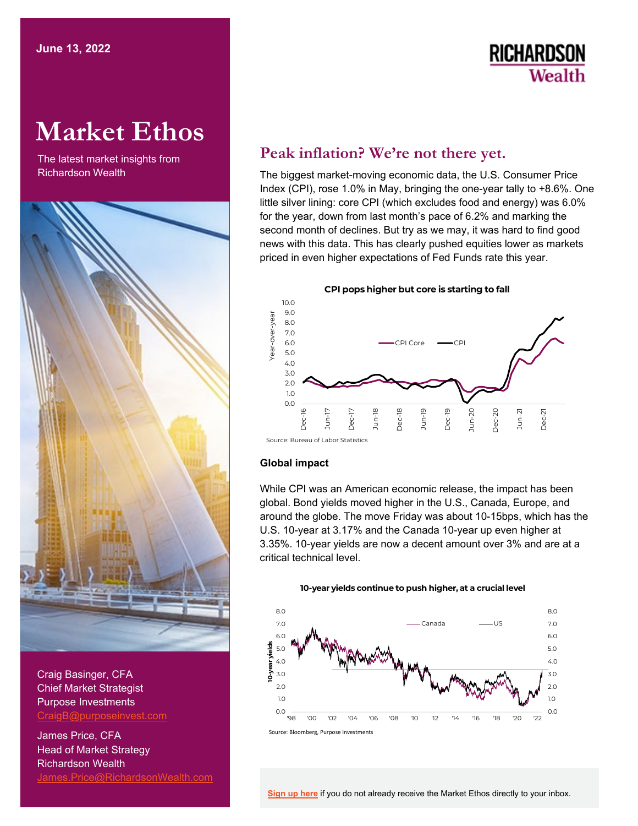# **RICHARDSON** Wealth

# **Market Ethos**

The latest market insights from



Craig Basinger, CFA Chief Market Strategist Purpose Investments [CraigB@purposeinvest.com](mailto:CraigB@purposeinvest.com) 

James Price, CFA Head of Market Strategy Richardson Wealth [James.Price@RichardsonWealth.com](mailto:James.Price@RichardsonWealth.com) 

## **Peak inflation? We're not there yet.**

 The biggest market-moving economic data, the U.S. Consumer Price Index (CPI), rose 1.0% in May, bringing the one-year tally to +8.6%. One little silver lining: core CPI (which excludes food and energy) was 6.0% for the year, down from last month's pace of 6.2% and marking the second month of declines. But try as we may, it was hard to find good news with this data. This has clearly pushed equities lower as markets priced in even higher expectations of Fed Funds rate this year.

**CPI pops higher but core is starting to fall**  10.0 Year-over-year 9.0 year 8.0 Year-over-7.0 6.0 CPI Core 5.0 4.0 3.0 2.0 1.0  $0.0$ Dec-18 Jun-19 Dec-19  $Dec-20$ Jun-17 Dec-20 Dec-21 Dec-17 Jun-18 Jun-20 Jun-21 c<br>Dec

### **Global impact**

Source: Bureau of Labor Statistics

 While CPI was an American economic release, the impact has been global. Bond yields moved higher in the U.S., Canada, Europe, and around the globe. The move Friday was about 10-15bps, which has the U.S. 10-year at 3.17% and the Canada 10-year up even higher at 3.35%. 10-year yields are now a decent amount over 3% and are at a critical technical level.

**10-year yields continue to push higher, at a crucial level** 



Source: Bloomberg, Purpose Investments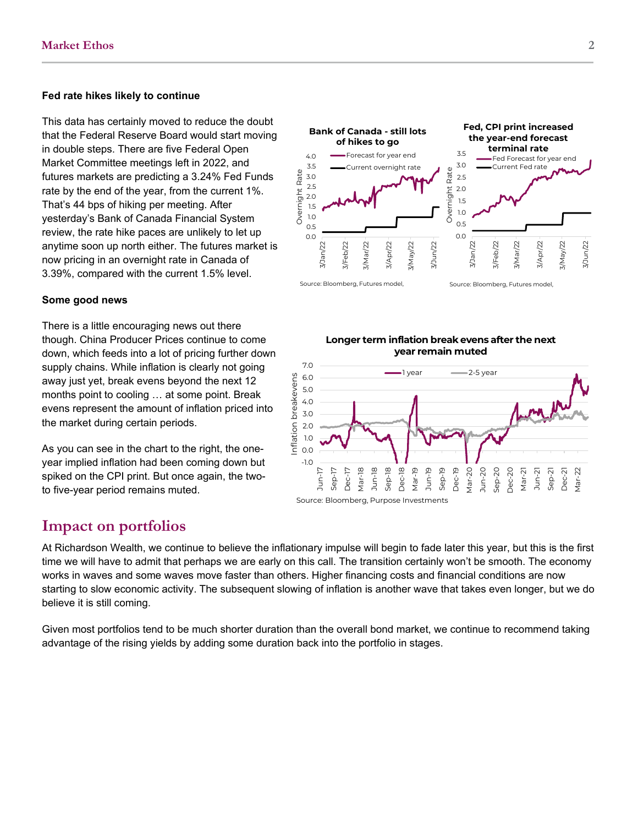#### **Fed rate hikes likely to continue**

This data has certainly moved to reduce the doubt that the Federal Reserve Board would start moving in double steps. There are five Federal Open Market Committee meetings left in 2022, and futures markets are predicting a 3.24% Fed Funds rate by the end of the year, from the current 1%. That's 44 bps of hiking per meeting. After yesterday's Bank of Canada Financial System review, the rate hike paces are unlikely to let up anytime soon up north either. The futures market is now pricing in an overnight rate in Canada of 3.39%, compared with the current 1.5% level.

#### **Some good news**

There is a little encouraging news out there though. China Producer Prices continue to come down, which feeds into a lot of pricing further down supply chains. While inflation is clearly not going away just yet, break evens beyond the next 12 months point to cooling … at some point. Break evens represent the amount of inflation priced into the market during certain periods.

As you can see in the chart to the right, the oneyear implied inflation had been coming down but spiked on the CPI print. But once again, the twoto five-year period remains muted.







## **Impact on portfolios**

At Richardson Wealth, we continue to believe the inflationary impulse will begin to fade later this year, but this is the first time we will have to admit that perhaps we are early on this call. The transition certainly won't be smooth. The economy works in waves and some waves move faster than others. Higher financing costs and financial conditions are now starting to slow economic activity. The subsequent slowing of inflation is another wave that takes even longer, but we do believe it is still coming.

Given most portfolios tend to be much shorter duration than the overall bond market, we continue to recommend taking advantage of the rising yields by adding some duration back into the portfolio in stages.